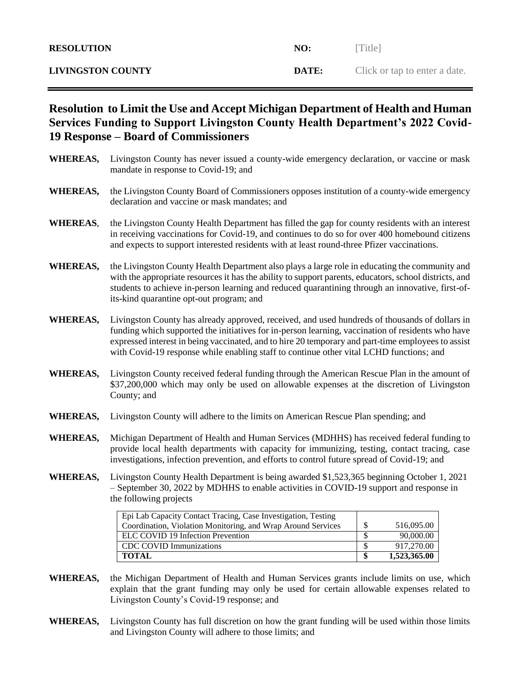| <b>RESOLUTION</b>        | NO:   | [Title]                       |
|--------------------------|-------|-------------------------------|
| <b>LIVINGSTON COUNTY</b> | DATE: | Click or tap to enter a date. |

## **Resolution to Limit the Use and Accept Michigan Department of Health and Human Services Funding to Support Livingston County Health Department's 2022 Covid-19 Response – Board of Commissioners**

- **WHEREAS,** Livingston County has never issued a county-wide emergency declaration, or vaccine or mask mandate in response to Covid-19; and **WHEREAS,** the Livingston County Board of Commissioners opposes institution of a county-wide emergency declaration and vaccine or mask mandates; and **WHEREAS**, the Livingston County Health Department has filled the gap for county residents with an interest in receiving vaccinations for Covid-19, and continues to do so for over 400 homebound citizens and expects to support interested residents with at least round-three Pfizer vaccinations. **WHEREAS,** the Livingston County Health Department also plays a large role in educating the community and with the appropriate resources it has the ability to support parents, educators, school districts, and students to achieve in-person learning and reduced quarantining through an innovative, first-ofits-kind quarantine opt-out program; and
- **WHEREAS,** Livingston County has already approved, received, and used hundreds of thousands of dollars in funding which supported the initiatives for in-person learning, vaccination of residents who have expressed interest in being vaccinated, and to hire 20 temporary and part-time employees to assist with Covid-19 response while enabling staff to continue other vital LCHD functions; and
- **WHEREAS,** Livingston County received federal funding through the American Rescue Plan in the amount of \$37,200,000 which may only be used on allowable expenses at the discretion of Livingston County; and
- **WHEREAS,** Livingston County will adhere to the limits on American Rescue Plan spending; and
- **WHEREAS,** Michigan Department of Health and Human Services (MDHHS) has received federal funding to provide local health departments with capacity for immunizing, testing, contact tracing, case investigations, infection prevention, and efforts to control future spread of Covid-19; and
- **WHEREAS,** Livingston County Health Department is being awarded \$1,523,365 beginning October 1, 2021 – September 30, 2022 by MDHHS to enable activities in COVID-19 support and response in the following projects

| Epi Lab Capacity Contact Tracing, Case Investigation, Testing |              |
|---------------------------------------------------------------|--------------|
| Coordination, Violation Monitoring, and Wrap Around Services  | 516,095.00   |
| ELC COVID 19 Infection Prevention                             | 90,000.00    |
| CDC COVID Immunizations                                       | 917,270.00   |
| <b>TOTAL</b>                                                  | 1,523,365.00 |

- **WHEREAS,** the Michigan Department of Health and Human Services grants include limits on use, which explain that the grant funding may only be used for certain allowable expenses related to Livingston County's Covid-19 response; and
- **WHEREAS,** Livingston County has full discretion on how the grant funding will be used within those limits and Livingston County will adhere to those limits; and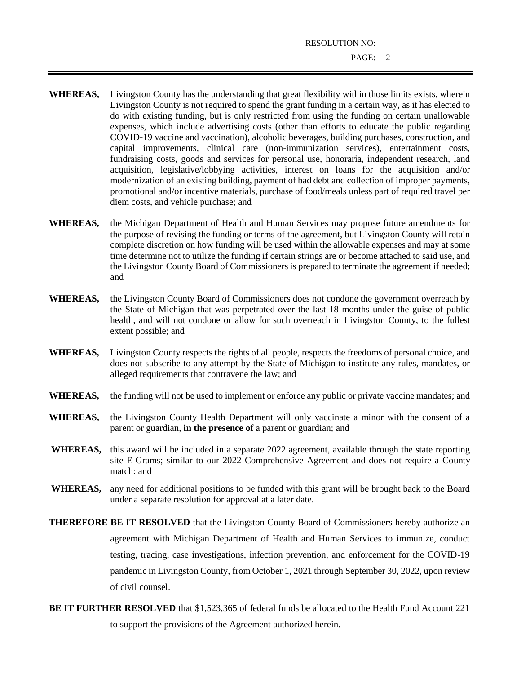RESOLUTION NO:

- **WHEREAS,** Livingston County has the understanding that great flexibility within those limits exists, wherein Livingston County is not required to spend the grant funding in a certain way, as it has elected to do with existing funding, but is only restricted from using the funding on certain unallowable expenses, which include advertising costs (other than efforts to educate the public regarding COVID-19 vaccine and vaccination), alcoholic beverages, building purchases, construction, and capital improvements, clinical care (non-immunization services), entertainment costs, fundraising costs, goods and services for personal use, honoraria, independent research, land acquisition, legislative/lobbying activities, interest on loans for the acquisition and/or modernization of an existing building, payment of bad debt and collection of improper payments, promotional and/or incentive materials, purchase of food/meals unless part of required travel per diem costs, and vehicle purchase; and
- **WHEREAS,** the Michigan Department of Health and Human Services may propose future amendments for the purpose of revising the funding or terms of the agreement, but Livingston County will retain complete discretion on how funding will be used within the allowable expenses and may at some time determine not to utilize the funding if certain strings are or become attached to said use, and the Livingston County Board of Commissioners is prepared to terminate the agreement if needed; and
- **WHEREAS,** the Livingston County Board of Commissioners does not condone the government overreach by the State of Michigan that was perpetrated over the last 18 months under the guise of public health, and will not condone or allow for such overreach in Livingston County, to the fullest extent possible; and
- **WHEREAS,** Livingston County respects the rights of all people, respects the freedoms of personal choice, and does not subscribe to any attempt by the State of Michigan to institute any rules, mandates, or alleged requirements that contravene the law; and
- **WHEREAS,** the funding will not be used to implement or enforce any public or private vaccine mandates; and
- **WHEREAS,** the Livingston County Health Department will only vaccinate a minor with the consent of a parent or guardian, **in the presence of** a parent or guardian; and
- **WHEREAS,** this award will be included in a separate 2022 agreement, available through the state reporting site E-Grams; similar to our 2022 Comprehensive Agreement and does not require a County match: and
- **WHEREAS,** any need for additional positions to be funded with this grant will be brought back to the Board under a separate resolution for approval at a later date.
- **THEREFORE BE IT RESOLVED** that the Livingston County Board of Commissioners hereby authorize an agreement with Michigan Department of Health and Human Services to immunize, conduct testing, tracing, case investigations, infection prevention, and enforcement for the COVID-19 pandemic in Livingston County, from October 1, 2021 through September 30, 2022, upon review of civil counsel.
- **BE IT FURTHER RESOLVED** that \$1,523,365 of federal funds be allocated to the Health Fund Account 221 to support the provisions of the Agreement authorized herein.